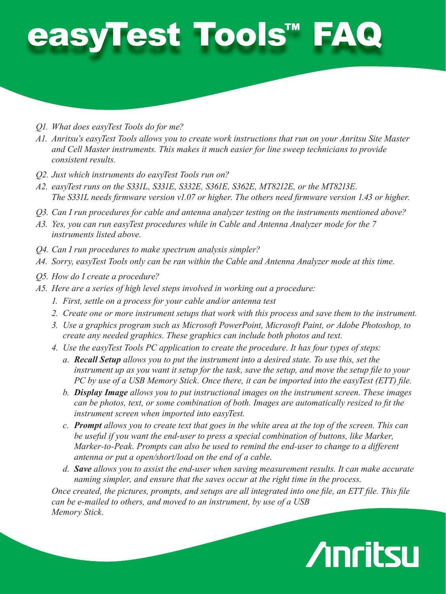## easyTest Tools™ FAQ

- *Q1. What does easyTest Tools do for me?*
- *A1. Anritsu's easyTest Tools allows you to create work instructions that run on your Anritsu Site Master and Cell Master instruments. This makes it much easier for line sweep technicians to provide consistent results.*
- *Q2. Just which instruments do easyTest Tools run on?*
- *A2. easyTest runs on the S331L, S331E, S332E, S361E, S362E, MT8212E, or the MT8213E. The S331L needs firmware version v1.07 or higher. The others need firmware version 1.43 or higher.*
- *Q3. Can I run procedures for cable and antenna analyzer testing on the instruments mentioned above?*
- *A3. Yes, you can run easyTest procedures while in Cable and Antenna Analyzer mode for the 7 instruments listed above.*
- *Q4. Can I run procedures to make spectrum analysis simpler?*
- *A4. Sorry, easyTest Tools only can be ran within the Cable and Antenna Analyzer mode at this time.*
- *Q5. How do I create a procedure?*
- *A5. Here are a series of high level steps involved in working out a procedure:*
	- *1. First, settle on a process for your cable and/or antenna test*
	- *2. Create one or more instrument setups that work with this process and save them to the instrument.*
	- *3. Use a graphics program such as Microsoft PowerPoint, Microsoft Paint, or Adobe Photoshop, to create any needed graphics. These graphics can include both photos and text.*
	- *4. Use the easyTest Tools PC application to create the procedure. It has four types of steps:*
		- *a. Recall Setup allows you to put the instrument into a desired state. To use this, set the instrument up as you want it setup for the task, save the setup, and move the setup file to your PC by use of a USB Memory Stick. Once there, it can be imported into the easyTest (ETT) file.*
		- *b. Display Image allows you to put instructional images on the instrument screen. These images can be photos, text, or some combination of both. Images are automatically resized to fit the instrument screen when imported into easyTest.*
		- *c. Prompt allows you to create text that goes in the white area at the top of the screen. This can be useful if you want the end-user to press a special combination of buttons, like Marker, Marker-to-Peak. Prompts can also be used to remind the end-user to change to a different antenna or put a open/short/load on the end of a cable.*
		- *d. Save allows you to assist the end-user when saving measurement results. It can make accurate naming simpler, and ensure that the saves occur at the right time in the process.*

*Once created, the pictures, prompts, and setups are all integrated into one file, an ETT file. This file can be e-mailed to others, and moved to an instrument, by use of a USB Memory Stick.*